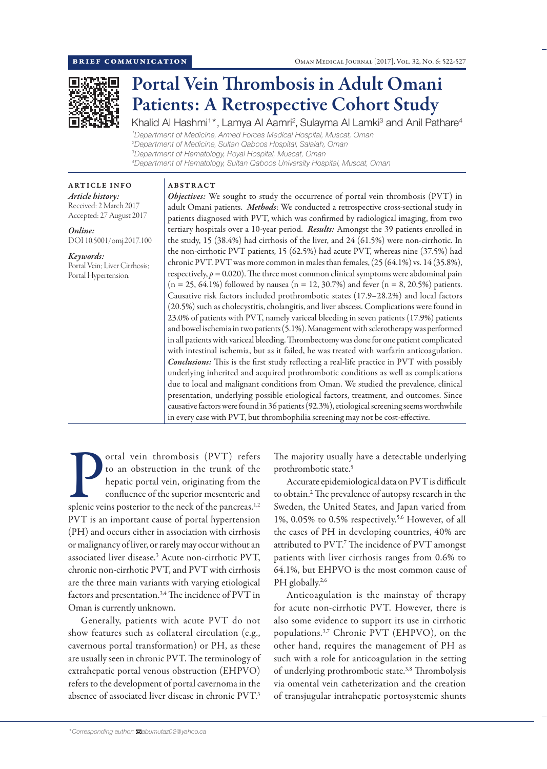

# Portal Vein Thrombosis in Adult Omani Patients: A Retrospective Cohort Study

Khalid Al Hashmi<sup>1\*</sup>, Lamya Al Aamri<sup>2</sup>, Sulayma Al Lamki<sup>3</sup> and Anil Pathare<sup>4</sup> *Department of Medicine, Armed Forces Medical Hospital, Muscat, Oman Department of Medicine, Sultan Qaboos Hospital, Salalah, Oman Department of Hematology, Royal Hospital, Muscat, Oman Department of Hematology, Sultan Qaboos University Hospital, Muscat, Oman*

# ABSTRACT

*Article history:* Received: 2 March 2017 Accepted: 27 August 2017

ARTICLE INFO

*Online:* DOI 10.5001/omj.2017.100

*Keywords:*  Portal Vein; Liver Cirrhosis; Portal Hypertension.

*Objectives:* We sought to study the occurrence of portal vein thrombosis (PVT) in adult Omani patients. *Methods*: We conducted a retrospective cross-sectional study in patients diagnosed with PVT, which was confirmed by radiological imaging, from two tertiary hospitals over a 10-year period. *Results:* Amongst the 39 patients enrolled in the study, 15 (38.4%) had cirrhosis of the liver, and 24 (61.5%) were non-cirrhotic. In the non-cirrhotic PVT patients, 15 (62.5%) had acute PVT, whereas nine (37.5%) had chronic PVT. PVT was more common in males than females, (25 (64.1%) vs. 14 (35.8%), respectively,  $p = 0.020$ ). The three most common clinical symptoms were abdominal pain  $(n = 25, 64.1\%)$  followed by nausea  $(n = 12, 30.7\%)$  and fever  $(n = 8, 20.5\%)$  patients. Causative risk factors included prothrombotic states (17.9–28.2%) and local factors (20.5%) such as cholecystitis, cholangitis, and liver abscess. Complications were found in 23.0% of patients with PVT, namely variceal bleeding in seven patients (17.9%) patients and bowel ischemia in two patients (5.1%). Management with sclerotherapy was performed in all patients with variceal bleeding. Thrombectomy was done for one patient complicated with intestinal ischemia, but as it failed, he was treated with warfarin anticoagulation. *Conclusions:* This is the first study reflecting a real-life practice in PVT with possibly underlying inherited and acquired prothrombotic conditions as well as complications due to local and malignant conditions from Oman. We studied the prevalence, clinical presentation, underlying possible etiological factors, treatment, and outcomes. Since causative factors were found in 36 patients (92.3%), etiological screening seems worthwhile in every case with PVT, but thrombophilia screening may not be cost-effective.

**Splendice 1999** ortal vein thrombosis (PVT) refers<br>to an obstruction in the trunk of the<br>hepatic portal vein, originating from the<br>confluence of the superior mesenteric and<br>splenic veins posterior to the neck of the pancr ortal vein thrombosis (PVT) refers to an obstruction in the trunk of the hepatic portal vein, originating from the confluence of the superior mesenteric and PVT is an important cause of portal hypertension (PH) and occurs either in association with cirrhosis or malignancy of liver, or rarely may occur without an associated liver disease.3 Acute non-cirrhotic PVT, chronic non-cirrhotic PVT, and PVT with cirrhosis are the three main variants with varying etiological factors and presentation.<sup>3,4</sup> The incidence of PVT in Oman is currently unknown.

Generally, patients with acute PVT do not show features such as collateral circulation (e.g., cavernous portal transformation) or PH, as these are usually seen in chronic PVT. The terminology of extrahepatic portal venous obstruction (EHPVO) refers to the development of portal cavernoma in the absence of associated liver disease in chronic PVT.3

The majority usually have a detectable underlying prothrombotic state.5

Accurate epidemiological data on PVT is difficult to obtain.2 The prevalence of autopsy research in the Sweden, the United States, and Japan varied from 1%, 0.05% to 0.5% respectively.5,6 However, of all the cases of PH in developing countries, 40% are attributed to PVT.<sup>7</sup> The incidence of PVT amongst patients with liver cirrhosis ranges from 0.6% to 64.1%, but EHPVO is the most common cause of PH globally.<sup>2,6</sup>

Anticoagulation is the mainstay of therapy for acute non-cirrhotic PVT. However, there is also some evidence to support its use in cirrhotic populations.<sup>3,7</sup> Chronic PVT (EHPVO), on the other hand, requires the management of PH as such with a role for anticoagulation in the setting of underlying prothrombotic state.<sup>3,8</sup> Thrombolysis via omental vein catheterization and the creation of transjugular intrahepatic portosystemic shunts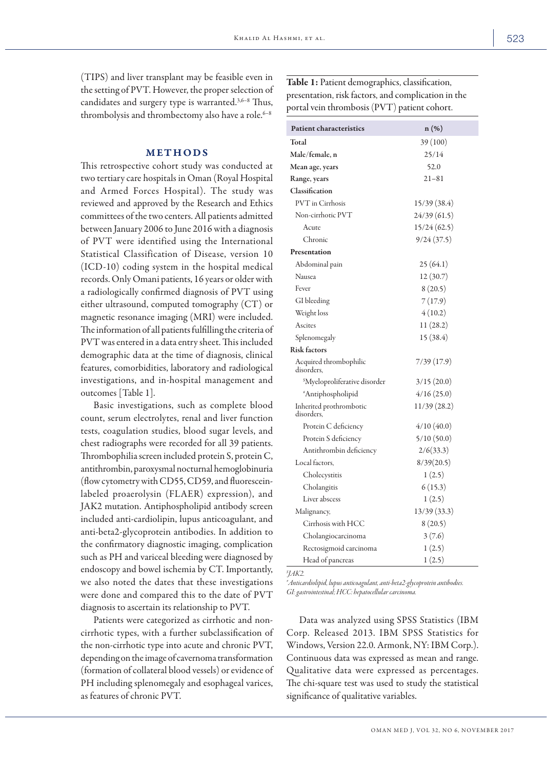(TIPS) and liver transplant may be feasible even in the setting of PVT. However, the proper selection of candidates and surgery type is warranted.<sup>3,6-8</sup> Thus, thrombolysis and thrombectomy also have a role. $6-8$ 

## METHODS

This retrospective cohort study was conducted at two tertiary care hospitals in Oman (Royal Hospital and Armed Forces Hospital). The study was reviewed and approved by the Research and Ethics committees of the two centers. All patients admitted between January 2006 to June 2016 with a diagnosis of PVT were identified using the International Statistical Classification of Disease, version 10 (ICD-10) coding system in the hospital medical records. Only Omani patients, 16 years or older with a radiologically confirmed diagnosis of PVT using either ultrasound, computed tomography (CT) or magnetic resonance imaging (MRI) were included. The information of all patients fulfilling the criteria of PVT was entered in a data entry sheet. This included demographic data at the time of diagnosis, clinical features, comorbidities, laboratory and radiological investigations, and in-hospital management and outcomes [Table 1].

Basic investigations, such as complete blood count, serum electrolytes, renal and liver function tests, coagulation studies, blood sugar levels, and chest radiographs were recorded for all 39 patients. Thrombophilia screen included protein S, protein C, antithrombin, paroxysmal nocturnal hemoglobinuria (flow cytometry with CD55, CD59, and fluoresceinlabeled proaerolysin (FLAER) expression), and JAK2 mutation. Antiphospholipid antibody screen included anti-cardiolipin, lupus anticoagulant, and anti-beta2-glycoprotein antibodies. In addition to the confirmatory diagnostic imaging, complication such as PH and variceal bleeding were diagnosed by endoscopy and bowel ischemia by CT. Importantly, we also noted the dates that these investigations were done and compared this to the date of PVT diagnosis to ascertain its relationship to PVT.

Patients were categorized as cirrhotic and noncirrhotic types, with a further subclassification of the non-cirrhotic type into acute and chronic PVT, depending on the image of cavernoma transformation (formation of collateral blood vessels) or evidence of PH including splenomegaly and esophageal varices, as features of chronic PVT.

Table 1: Patient demographics, classification, presentation, risk factors, and complication in the portal vein thrombosis (PVT) patient cohort.

| <b>Patient characteristics</b>            | $n(\%)$      |
|-------------------------------------------|--------------|
| Total                                     | 39 (100)     |
| Male/female, n                            | 25/14        |
| Mean age, years                           | 52.0         |
| Range, years                              | $21 - 81$    |
| Classification                            |              |
| <b>PVT</b> in Cirrhosis                   | 15/39 (38.4) |
| Non-cirrhotic PVT                         | 24/39 (61.5) |
| Acute                                     | 15/24(62.5)  |
| Chronic                                   | 9/24(37.5)   |
| Presentation                              |              |
| Abdominal pain                            | 25(64.1)     |
| Nausea                                    | 12 (30.7)    |
| Fever                                     | 8(20.5)      |
| GI bleeding                               | 7(17.9)      |
| Weight loss                               | 4(10.2)      |
| Ascites                                   | 11(28.2)     |
| Splenomegaly                              | 15 (38.4)    |
| <b>Risk factors</b>                       |              |
| Acquired thrombophilic<br>disorders,      | 7/39(17.9)   |
| <sup>\$</sup> Myeloproliferative disorder | 3/15(20.0)   |
| *Antiphospholipid                         | 4/16(25.0)   |
| Inherited prothrombotic<br>disorders.     | 11/39 (28.2) |
| Protein C deficiency                      | 4/10(40.0)   |
| Protein S deficiency                      | 5/10(50.0)   |
| Antithrombin deficiency                   | 2/6(33.3)    |
| Local factors,                            | 8/39(20.5)   |
| Cholecystitis                             | 1(2.5)       |
| Cholangitis                               | 6(15.3)      |
| Liver abscess                             | 1(2.5)       |
| Malignancy,                               | 13/39 (33.3) |
| Cirrhosis with HCC                        | 8(20.5)      |
| Cholangiocarcinoma                        | 3(7.6)       |
| Rectosigmoid carcinoma                    | 1(2.5)       |
| Head of pancreas                          | 1(2.5)       |

*\$ JAK2.*

*# Anticardiolipid, lupus anticoagulant, anti-beta2-glycoprotein antibodies. GI: gastrointestinal; HCC: hepatocellular carcinoma.*

Data was analyzed using SPSS Statistics (IBM Corp. Released 2013. IBM SPSS Statistics for Windows, Version 22.0. Armonk, NY: IBM Corp.). Continuous data was expressed as mean and range. Qualitative data were expressed as percentages. The chi-square test was used to study the statistical significance of qualitative variables.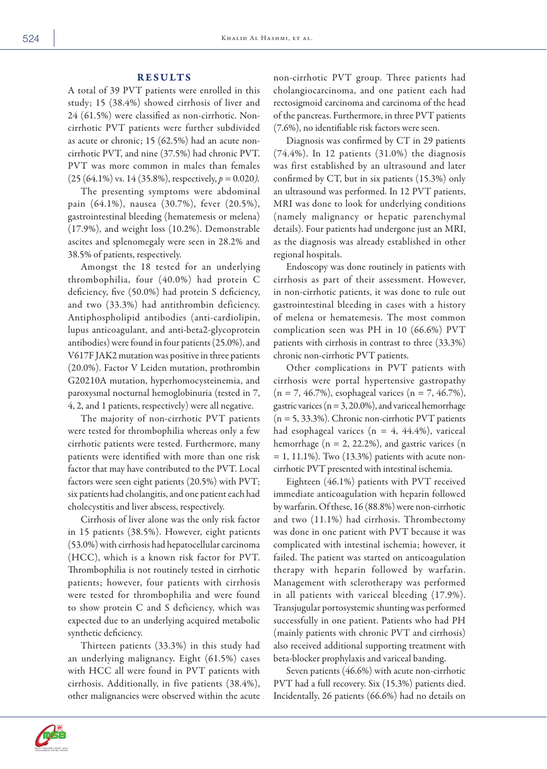### RESULTS

A total of 39 PVT patients were enrolled in this study; 15 (38.4%) showed cirrhosis of liver and 24 (61.5%) were classified as non-cirrhotic. Noncirrhotic PVT patients were further subdivided as acute or chronic; 15 (62.5%) had an acute noncirrhotic PVT, and nine (37.5%) had chronic PVT. PVT was more common in males than females (25 (64.1%) vs. 14 (35.8%), respectively, *p =* 0.020*).*

The presenting symptoms were abdominal pain (64.1%), nausea (30.7%), fever (20.5%), gastrointestinal bleeding (hematemesis or melena) (17.9%), and weight loss (10.2%). Demonstrable ascites and splenomegaly were seen in 28.2% and 38.5% of patients, respectively.

Amongst the 18 tested for an underlying thrombophilia, four (40.0%) had protein C deficiency, five (50.0%) had protein S deficiency, and two (33.3%) had antithrombin deficiency. Antiphospholipid antibodies (anti-cardiolipin, lupus anticoagulant, and anti-beta2-glycoprotein antibodies) were found in four patients (25.0%), and V617F JAK2 mutation was positive in three patients (20.0%). Factor V Leiden mutation, prothrombin G20210A mutation, hyperhomocysteinemia, and paroxysmal nocturnal hemoglobinuria (tested in 7, 4, 2, and 1 patients, respectively) were all negative.

The majority of non-cirrhotic PVT patients were tested for thrombophilia whereas only a few cirrhotic patients were tested. Furthermore, many patients were identified with more than one risk factor that may have contributed to the PVT. Local factors were seen eight patients (20.5%) with PVT; six patients had cholangitis, and one patient each had cholecystitis and liver abscess, respectively.

Cirrhosis of liver alone was the only risk factor in 15 patients (38.5%). However, eight patients (53.0%) with cirrhosis had hepatocellular carcinoma (HCC), which is a known risk factor for PVT. Thrombophilia is not routinely tested in cirrhotic patients; however, four patients with cirrhosis were tested for thrombophilia and were found to show protein C and S deficiency, which was expected due to an underlying acquired metabolic synthetic deficiency.

Thirteen patients (33.3%) in this study had an underlying malignancy. Eight (61.5%) cases with HCC all were found in PVT patients with cirrhosis. Additionally, in five patients (38.4%), other malignancies were observed within the acute

non-cirrhotic PVT group. Three patients had cholangiocarcinoma, and one patient each had rectosigmoid carcinoma and carcinoma of the head of the pancreas. Furthermore, in three PVT patients (7.6%), no identifiable risk factors were seen.

Diagnosis was confirmed by CT in 29 patients (74.4%). In 12 patients (31.0%) the diagnosis was first established by an ultrasound and later confirmed by CT, but in six patients (15.3%) only an ultrasound was performed. In 12 PVT patients, MRI was done to look for underlying conditions (namely malignancy or hepatic parenchymal details). Four patients had undergone just an MRI, as the diagnosis was already established in other regional hospitals.

Endoscopy was done routinely in patients with cirrhosis as part of their assessment. However, in non-cirrhotic patients, it was done to rule out gastrointestinal bleeding in cases with a history of melena or hematemesis. The most common complication seen was PH in 10 (66.6%) PVT patients with cirrhosis in contrast to three (33.3%) chronic non-cirrhotic PVT patients.

Other complications in PVT patients with cirrhosis were portal hypertensive gastropathy  $(n = 7, 46.7\%)$ , esophageal varices  $(n = 7, 46.7\%)$ , gastric varices ( $n = 3, 20.0\%$ ), and variceal hemorrhage  $(n = 5, 33.3\%)$ . Chronic non-cirrhotic PVT patients had esophageal varices ( $n = 4$ , 44.4%), variceal hemorrhage  $(n = 2, 22.2\%)$ , and gastric varices  $(n = 1, 2, 2\%)$  $= 1, 11.1\%$ ). Two  $(13.3\%)$  patients with acute noncirrhotic PVT presented with intestinal ischemia.

Eighteen (46.1%) patients with PVT received immediate anticoagulation with heparin followed by warfarin. Of these, 16 (88.8%) were non-cirrhotic and two (11.1%) had cirrhosis. Thrombectomy was done in one patient with PVT because it was complicated with intestinal ischemia; however, it failed. The patient was started on anticoagulation therapy with heparin followed by warfarin. Management with sclerotherapy was performed in all patients with variceal bleeding (17.9%). Transjugular portosystemic shunting was performed successfully in one patient. Patients who had PH (mainly patients with chronic PVT and cirrhosis) also received additional supporting treatment with beta-blocker prophylaxis and variceal banding.

Seven patients (46.6%) with acute non-cirrhotic PVT had a full recovery. Six (15.3%) patients died. Incidentally, 26 patients (66.6%) had no details on

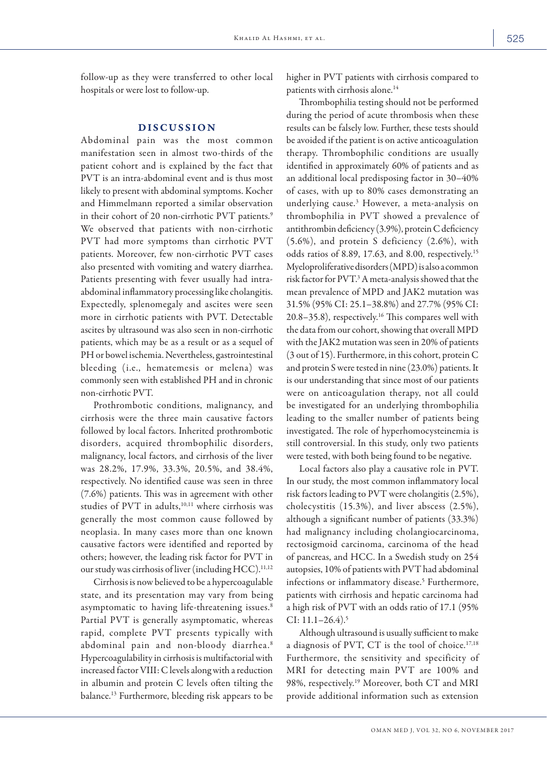follow-up as they were transferred to other local hospitals or were lost to follow-up.

### DISCUSSION

Abdominal pain was the most common manifestation seen in almost two-thirds of the patient cohort and is explained by the fact that PVT is an intra-abdominal event and is thus most likely to present with abdominal symptoms. Kocher and Himmelmann reported a similar observation in their cohort of 20 non-cirrhotic PVT patients.<sup>9</sup> We observed that patients with non-cirrhotic PVT had more symptoms than cirrhotic PVT patients. Moreover, few non-cirrhotic PVT cases also presented with vomiting and watery diarrhea. Patients presenting with fever usually had intraabdominal inflammatory processing like cholangitis. Expectedly, splenomegaly and ascites were seen more in cirrhotic patients with PVT. Detectable ascites by ultrasound was also seen in non-cirrhotic patients, which may be as a result or as a sequel of PH or bowel ischemia. Nevertheless, gastrointestinal bleeding (i.e., hematemesis or melena) was commonly seen with established PH and in chronic non-cirrhotic PVT.

Prothrombotic conditions, malignancy, and cirrhosis were the three main causative factors followed by local factors. Inherited prothrombotic disorders, acquired thrombophilic disorders, malignancy, local factors, and cirrhosis of the liver was 28.2%, 17.9%, 33.3%, 20.5%, and 38.4%, respectively. No identified cause was seen in three (7.6%) patients. This was in agreement with other studies of PVT in adults,<sup>10,11</sup> where cirrhosis was generally the most common cause followed by neoplasia. In many cases more than one known causative factors were identified and reported by others; however, the leading risk factor for PVT in our study was cirrhosis of liver (including  $HCC$ ).<sup>11,12</sup>

Cirrhosis is now believed to be a hypercoagulable state, and its presentation may vary from being asymptomatic to having life-threatening issues.<sup>8</sup> Partial PVT is generally asymptomatic, whereas rapid, complete PVT presents typically with abdominal pain and non-bloody diarrhea.8 Hypercoagulability in cirrhosis is multifactorial with increased factor VIII: C levels along with a reduction in albumin and protein C levels often tilting the balance.13 Furthermore, bleeding risk appears to be higher in PVT patients with cirrhosis compared to patients with cirrhosis alone.14

Thrombophilia testing should not be performed during the period of acute thrombosis when these results can be falsely low. Further, these tests should be avoided if the patient is on active anticoagulation therapy. Thrombophilic conditions are usually identified in approximately 60% of patients and as an additional local predisposing factor in 30–40% of cases, with up to 80% cases demonstrating an underlying cause.3 However, a meta-analysis on thrombophilia in PVT showed a prevalence of antithrombin deficiency (3.9%), protein C deficiency (5.6%), and protein S deficiency (2.6%), with odds ratios of 8.89, 17.63, and 8.00, respectively.15 Myeloproliferative disorders (MPD) is also a common risk factor for PVT.3A meta-analysis showed that the mean prevalence of MPD and JAK2 mutation was 31.5% (95% CI: 25.1–38.8%) and 27.7% (95% CI: 20.8–35.8), respectively.16 This compares well with the data from our cohort, showing that overall MPD with the JAK2 mutation was seen in 20% of patients (3 out of 15). Furthermore, in this cohort, protein C and protein S were tested in nine (23.0%) patients. It is our understanding that since most of our patients were on anticoagulation therapy, not all could be investigated for an underlying thrombophilia leading to the smaller number of patients being investigated. The role of hyperhomocysteinemia is still controversial. In this study, only two patients were tested, with both being found to be negative.

Local factors also play a causative role in PVT. In our study, the most common inflammatory local risk factors leading to PVT were cholangitis (2.5%), cholecystitis (15.3%), and liver abscess (2.5%), although a significant number of patients (33.3%) had malignancy including cholangiocarcinoma, rectosigmoid carcinoma, carcinoma of the head of pancreas, and HCC. In a Swedish study on 254 autopsies, 10% of patients with PVT had abdominal infections or inflammatory disease.5 Furthermore, patients with cirrhosis and hepatic carcinoma had a high risk of PVT with an odds ratio of 17.1 (95%  $CI: 11.1 - 26.4$ <sup>5</sup>

Although ultrasound is usually sufficient to make a diagnosis of PVT, CT is the tool of choice.<sup>17,18</sup> Furthermore, the sensitivity and specificity of MRI for detecting main PVT are 100% and 98%, respectively.19 Moreover, both CT and MRI provide additional information such as extension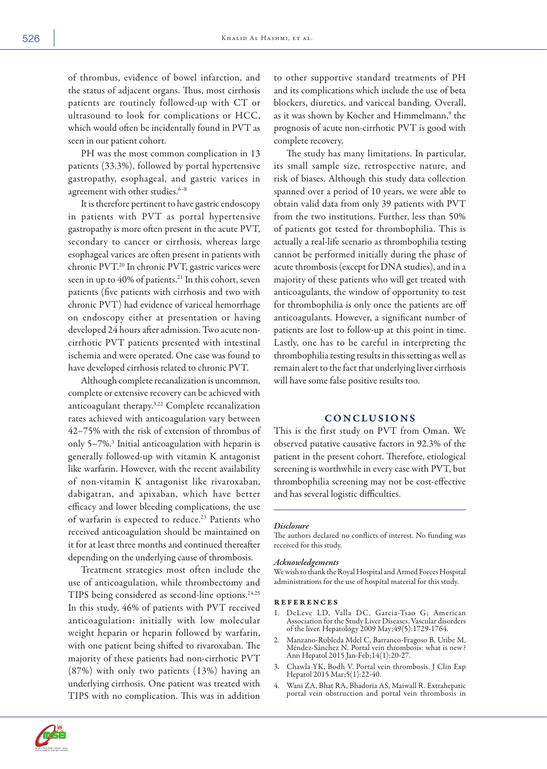of thrombus, evidence of bowel infarction, and the status of adjacent organs. Thus, most cirrhosis patients are routinely followed-up with CT or ultrasound to look for complications or HCC, which would often be incidentally found in PVT as seen in our patient cohort.

PH was the most common complication in 13 patients (33.3%), followed by portal hypertensive gastropathy, esophageal, and gastric varices in agreement with other studies.<sup>6-8</sup>

It is therefore pertinent to have gastric endoscopy in patients with PVT as portal hypertensive gastropathy is more often present in the acute PVT, secondary to cancer or cirrhosis, whereas large esophageal varices are often present in patients with chronic PVT.20 In chronic PVT, gastric varices were seen in up to 40% of patients.<sup>21</sup> In this cohort, seven patients (five patients with cirrhosis and two with chronic PVT) had evidence of variceal hemorrhage on endoscopy either at presentation or having developed 24 hours after admission. Two acute noncirrhotic PVT patients presented with intestinal ischemia and were operated. One case was found to have developed cirrhosis related to chronic PVT.

Although complete recanalization is uncommon, complete or extensive recovery can be achieved with anticoagulant therapy.3,22 Complete recanalization rates achieved with anticoagulation vary between 42–75% with the risk of extension of thrombus of only 5-7%.<sup>3</sup> Initial anticoagulation with heparin is generally followed-up with vitamin K antagonist like warfarin. However, with the recent availability of non-vitamin K antagonist like rivaroxaban, dabigatran, and apixaban, which have better efficacy and lower bleeding complications, the use of warfarin is expected to reduce.<sup>23</sup> Patients who received anticoagulation should be maintained on it for at least three months and continued thereafter depending on the underlying cause of thrombosis.

Treatment strategies most often include the use of anticoagulation, while thrombectomy and TIPS being considered as second-line options.<sup>24,25</sup> In this study, 46% of patients with PVT received anticoagulation: initially with low molecular weight heparin or heparin followed by warfarin, with one patient being shifted to rivaroxaban. The majority of these patients had non-cirrhotic PVT (87%) with only two patients (13%) having an underlying cirrhosis. One patient was treated with TIPS with no complication. This was in addition

to other supportive standard treatments of PH and its complications which include the use of beta blockers, diuretics, and variceal banding. Overall, as it was shown by Kocher and Himmelmann,<sup>9</sup> the prognosis of acute non-cirrhotic PVT is good with complete recovery.

The study has many limitations. In particular, its small sample size, retrospective nature, and risk of biases. Although this study data collection spanned over a period of 10 years, we were able to obtain valid data from only 39 patients with PVT from the two institutions. Further, less than 50% of patients got tested for thrombophilia. This is actually a real-life scenario as thrombophilia testing cannot be performed initially during the phase of acute thrombosis (except for DNA studies), and in a majority of these patients who will get treated with anticoagulants, the window of opportunity to test for thrombophilia is only once the patients are off anticoagulants. However, a significant number of patients are lost to follow-up at this point in time. Lastly, one has to be careful in interpreting the thrombophilia testing results in this setting as well as remain alert to the fact that underlying liver cirrhosis will have some false positive results too.

# CONCLUSIONS

This is the first study on PVT from Oman. We observed putative causative factors in 92.3% of the patient in the present cohort. Therefore, etiological screening is worthwhile in every case with PVT, but thrombophilia screening may not be cost-effective and has several logistic difficulties.

#### *Disclosure*

The authors declared no conflicts of interest. No funding was received for this study.

#### *Acknowledgements*

We wish to thank the Royal Hospital and Armed Forces Hospital administrations for the use of hospital material for this study.

#### references

- 1. DeLeve LD, Valla DC, Garcia-Tsao G; American Association for the Study Liver Diseases. Vascular disorders of the liver. Hepatology 2009 May;49(5):1729-1764.
- 2. Manzano-Robleda Mdel C, Barranco-Fragoso B, Uribe M, Méndez-Sánchez N. Portal vein thrombosis: what is new? Ann Hepatol 2015 Jan-Feb;14(1):20-27.
- 3. Chawla YK, Bodh V. Portal vein thrombosis. J Clin Exp Hepatol 2015 Mar;5(1):22-40.
- 4. Wani ZA, Bhat RA, Bhadoria AS, Maiwall R. Extrahepatic portal vein obstruction and portal vein thrombosis in